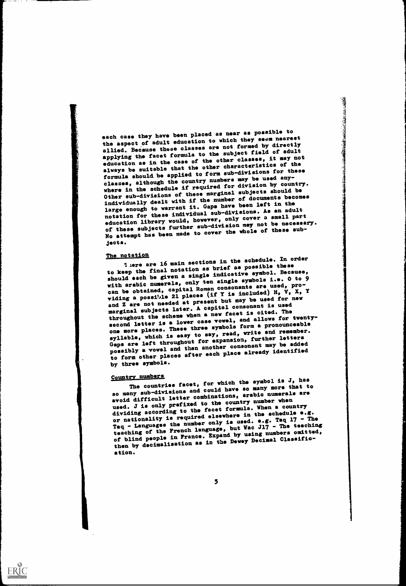each case they have been placed as near as possible to the aspect of adult education to which they seem nearest allied. Because these classes are not formed by directly applying the facet formula to the subject field of adult education as in the case of the other classes, it may not always be suitable that the other characteristics of the formula should be applied to form sub-divisions for these classes, although the country numbers may be used anywhere in the schedule if required for division by country. Other sub-divisions of these marginal subjects should be individually dealt with if the number of documents becomes large enough to warrant it. Gaps have been left in the notation for these individual sub-dtvisions. As an adult education library would, however, only cover a small part of these subjects further sub-division may not be necessary. No attempt has been made to cover the whole of these subjects.

The notation liere are 16 main sections in the schedule. In order to keep the final notation as brief as possible these should each be given a single indicative symbol. Because, with arabic numerals, only ten single symbols i.e. O to 9 can be obtained, capital Roman consonants are used, providing a possible 21 places (if Y is included) H,  $V$ , X, Y and Z are not needed at present but may be used for new marginal subjects later. A capital consonant is used throughout the scheme when a new facet is cited. The second letter is a lower case vowel, and allows for twentyone more places. These three symbols form a pronounceable syllable, which is easy to say, road, write and remember. Gaps are left throughout for expansion, further letters possibly a vowel and then another consonant may be added to form other places after each place already identified by three symbols.

Country numbers<br>The countries facet, for which the symbol is J, has<br>any more that to so many sub-divisions and could have so many more that to avoid difficult letter combinations, arabio numerals are used. J is only prefixed to the country number when dividing according to the facet formula. When a country or nationality is required elsewhere in the schedule e.g. Taq - Languages the number only is used. e.g. Taq  $17$  - The teaching of the French language, but Wac J17 - The teaching of blind people in France. Expand by using numbers omitted, then by decimalisation as in the Dewey Decimal Classification.

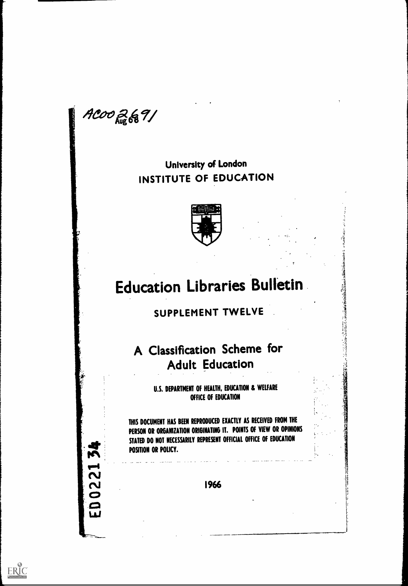ACOO 2691

M

2<br>Z

 $\mathbf{\Omega}$ 

 $\begin{bmatrix} 1 \\ 2 \\ 3 \end{bmatrix}$ 

ERIC

# University of London INSTITUTE OF EDUCATION



# Education Libraries Bulletin

# SUPPLEMENT TWELVE

# A Classification Scheme for Adult Education

U.S. DEPARTMENT OF HEALTH, EDUCATION & WELFARE OFFICE OF EDUCATION

THIS DOCUMENT HAS BEEN REPRODUCED EXACTLY AS RECEIVED FROM THE PERSON OR ORGANIZATION ORIGINATING IT. POINTS OF VIEW OR OPINIONS STATED DO NOT NECESSARILY REPRESENT OFFICIAL OFFICE OF EDUCATION POSITION OR POLICY.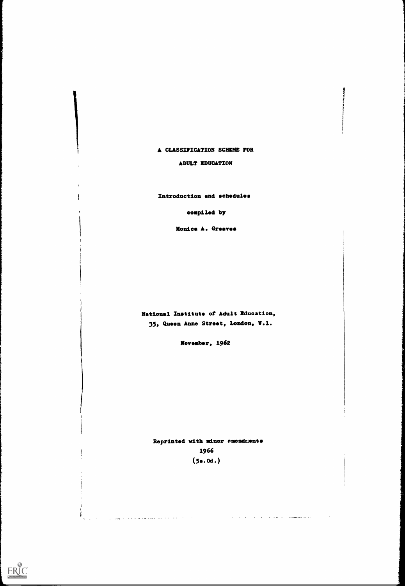#### A CLASSIFICATION SCHEME FOR

#### ADULT EDUCATION

Introduction and schedules

compiled by

Monica A. Greaves

National Institute of Adult Education, 35, Queen Anne Stret, London, V.1.

Nevember, 1962

Reprinted with minor emendments 1966 (5s.od.)

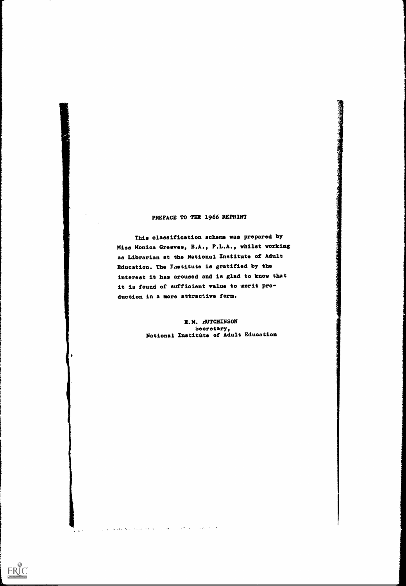## PREFACE TO THE 1966 REPRINT

大学 大学 医子宫

This classification scheme was prepared by Miss Monica Greaves, B.A., F.L.A., whilst working as Librarian at the National Institute of Adult Education. The Iastitute is gratified by the interest it has aroused and is glad to know that it is found of sufficient value to merit production in a more attractive form.

> E.M. AUTCHINSON Secretary, National Institute of Adult Education

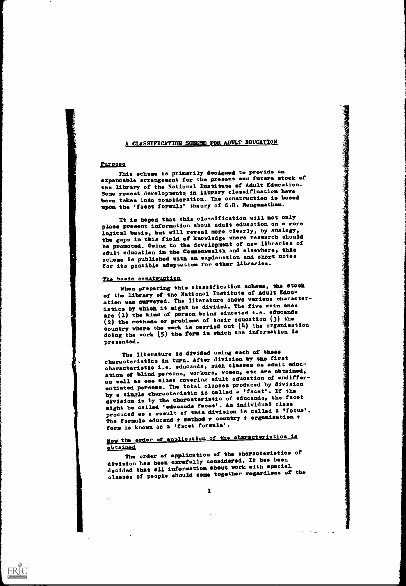### A CLASSIFICATION SCHEME FOR ADULT EDUCATION

#### Purpose

ERIC

This scheme is primarily designed to provide an expandable arrangement for the present and future stock of the library of the National Institute of Adult Education. Some recent developments in library classification have been taken into consideration. The construction is based upon the 'facet formula' theory of S.R. Ranganathan.

It is hoped that this classification will not only place present information about adult education on a more logical basis, but will reveal more clearly, by analogy, the gaps in this field of knowledge where research should be promoted. Owing to the development of new libraries of adult education in the Commonwealth and elsewhere, this scheme is published with an explanation and short notes for its possible adaptation for other libraries.

#### The basic construction

When preparing this classification scheme, the stock of the library of the National Institute of Adult Education was surveyed. The literature shows various characteristics by which it might be divided. The five main ones are (1) the kind of person being educated i.e. educands (2) the methods or problems of their education (3) the country where the work is carried out (4) the organisation doing the work (5) the form in which the information is presented.

The literature is divided using each of these characteristics in turn. After division by the first characteristic i.e. educands, such classes as adult education of blind persons, workers, women, etc are obtained, as well as one class covering adult education of undifferentiated persons. The total classes produced by division by a single characteristic is called a 'facet'. If the division is by the characteristic of educands, the facet might be called 'oducands facet'. An individual class produced as a result of this division is called a 'focus'. The formula educand  $f$  method  $f$  country  $f$  organisation  $f$ form is known as a 'facet formula'.

## How the order of application of the characteristics is obtained,

The order of application of the characteristics of division has been carefully considered. It has been decided that all information about work with special classes of people should come together regardless of the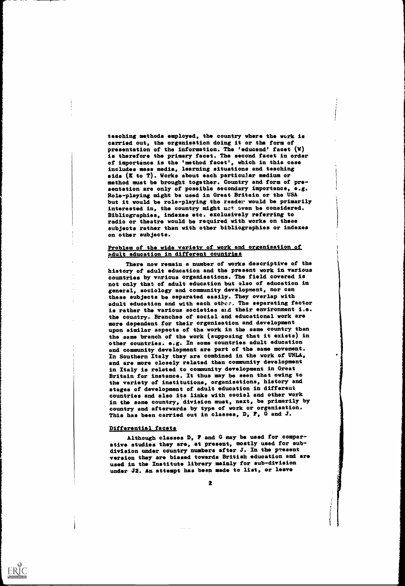teaching methods employed, the country where the work is carried out, the organisation doing it or the form of presentation of the information. The 'educand' facet (W) is therefore the primary facet. The second facet in order of importance is the 'method facet', which in this case includes mass media, learning situations and teaching aids  $(K$  to  $T)$ . Works about each particular medium or method must be brought together. Country and form of presentation are only of possible secondary importance, e.g. Role-playing might be used in Great Britain or the USA but it would be role-playing the reader would be primarily interested in, the country might net oven be considered. Bibliographies, indexes etc. exclusively referring to radio or theatre would be required with works on these subjects rather than with other bibliographies or indexes on other subjects.

#### Problem of the wide variety of work and organisation of pdult education in different countries

There now remain a number of works descriptive of the history of adult education and the present work in various countries by various organisations. The field covered is not only that of adult education but also of education in general, sociology and community development, nor can these subjects be separated easily. They overlap with adult education and with each otbcc. The separating factor is rather the various societies aid their environment i.e. the country. Branches of social and educational work are more dependent for their organisation and development upon similar aspects of the work in the same country than the same branch of the work (supposing that it exists) in other countries. e.g. In some countries adult education and community development are part of the same movement. In Southern Italy they are combined in the work of UNLA, and are more closely related than community development in Italy is related to community development in Great Britain for instance. It thus may be seen that owing to the variety of institutions, organisations, history and stages of development of adult education in different countries and also its links with social and other work in the same country, division must, next, be primarily by country and afterwards by type of work or organisation. This has been carried out in classes, D, F, G and J.

#### Differential facets

 $ERIC$ 

Although classes D, F and G may be used for comparative studies they are, at present, mostly used for subdivision under country numbers after J. In the present version they are biased towards British education and are used in the Institute library mainly for sub-division under J2. An attempt has been made to list, or leave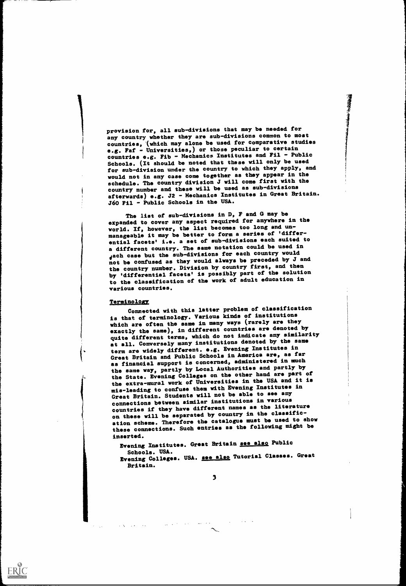provision for, all sub-divisions that may be needed for any country whether they are sub-divisions common to most countries, (which may alone be used for comparative studies e.g. Faf - Universities,) or those peculiar to certain countries e.g. Fib - Mechanics Institutes and Fil - Public Schools. (It should be noted that these will only be used for sub-division under the country to which they apply, and would not in any case come together as they appear in the schedule. The country division J will come first with the country number and these will be used as sub-divisions afterwards) e.g. J2 - Mechanics Institutes in Great Britain. J60 Fil - Public Schools in the USA.

清理特点

The list of sub-divisions in D, F and G may be expanded to cover any aspect required for anywhere in the world. If, however, the list becomes too long and unmanageable it may be better to form a series of 'differential facets' i.e. a set of sub-divisions each suited to a different country. The same notation could be used in Jach case but the sub-divisions for each country would not be confused as they would always be preceded by J and the country number. Division by country first, and then by 'differential facets' is possibly part of the solution to the classification of the work of adult education in various countries.

#### Terminology

ERIC

Connected with this latter problem of classification is that of terminology. Various kinds of institutions which are often the same in many ways (rarely are they exactly the same), in different countries are denoted by quite different terms, which do not indicate any similarity at all. Conversely many institutions denoted by the same term are widely different. e.g. Evening Institutes in Great Britain and Public Schools in America ars, as far as financial support is concerned, administered in much the same way, partly by Local Authorities and partly by the State. Evening Colleges on the other hand are part of the extra-mural work of Universities in the USA and it is mis-leading to confuse them with Evening Institutes in Great Britain. Students will not be able to see any connections between similar institutions in various countries if they have different names as the literature on these will be separated by country in the classification scheme. Therefore the catalogue must be used to show these connections. Such entries as the following might be inserted.

Evening Institutes. Great Britain see also Public Schools. USA.

Schools. USA.<br>Evening Colleges. USA. <u>see also</u> Tutorial Classes. Great Britain.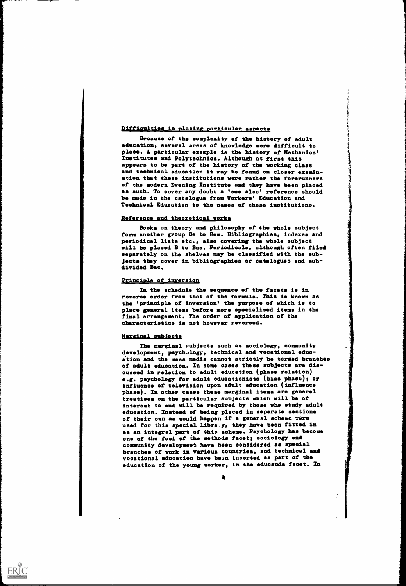#### Difficulties in placing particular aspects

Because of the complexity of the history of adult education, several areas of knowledge were difficult to place. A particular example is the history of Mechanics' Institutes and Polytechnics. Although at first this appears to be part of the history of the working class and technical education it may be found on closer examination that these institutions were rather the forerunners of the modern Evening Institute and they have been placed as such. To cover any doubt a 'see also' reference should be made in the catalogue from Workers' Education and Technical Education to the names of these institutions.

#### Reference and theoretical works

Books on theory and philosophy of the whole subject form another group Be to Bem. Bibliographies, indexes and periodical lists etc., also covering the whole subject will be placed B to Bag. Periodicals, although often filed separately on the shelves may be classified with the subjects they cover in bibliographies or catalogues and subdivided Bac.

#### Principle of inversion

In the schedule the sequence of the facets is in reverse order from that of the formula. This is known as the 'principle of inversion' the purpose of which is to place general items before more specialised items in the final arrangement. The order of application of the cheracteristics is not however reversed.

#### Marginal subJects

ERIC

The marginal rubjects such as sociology, community development, psychulogy, technical and vocational education and the mass media cannot strictly be termed branches of adult education. In some cases these subjedts are discussed in relation to adult education (phase relation) .g. psydhology for adult educationists (bias phase); or influence of television upon adult education (influence phase). In other cases these marginal items are general treatises on the particular subjects which will be of interest to and will be required by those who study adult ducation. Instead of being placed in separate sections of their own as would happen if a general scheme ware used for this apecial libra y, they have been fitted in as an integral part of this acheme. Paychology has become one of the foci of the methods facet; sociology and community development have been considered as spacial branches of work in various countries, and technical and vocational education have been inserted as part of the education of the young worker, in the educands facet. In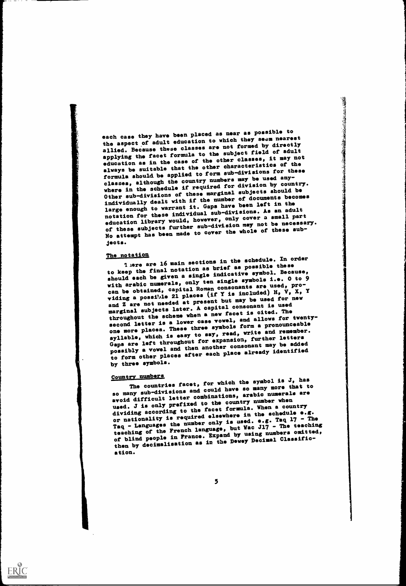each case they have been placed as near as possible to the aspect of adult education to which they seem nearest allied. Because these classes are not formed by directly applying the facet formula to the subject field of adult education as in the case of the other classes, it may not always be suitable that the other characteristics of the formula should be applied to form sub-divisions for these classes, although the country numbers may be used anywhere in the schedule if required for division by country. Other sub-divisions of these marginal subjects should be individually dealt with if the number of documents becomes large enough to warrant it. Gaps have been left in the notation for these individual sub-divisions. As an adult education library would, however, only cover a small part of these subjects further sub-division may not be necessary. No attempt has been made to cover the whole of these subjects.

The notation<br>
let are 16 main sections in the schedule. In order<br>
let are in the sections in the schedule these to keep the final notation as brief as possible these should each be given a single indicative symbol. Because, with arabic numerals, only ten single symbols i.e. O to 9 can be obtained, capital Roman consonants are used, providing a possible 21 places (if Y is included) H,  $V$ , X, Y and Z are not needed at present but may be used for new marginal subjects later. A capital consonant is used throughout the scheme when a new facet is cited. The second letter is a lower case vowel, and allows for twentyone more places. These three symbols form a pronounceable syllable, which is easy to say, read, write and remember. Gaps are left throughout for expansion, further letters possibly a vowel and then another consonant may be added to form other places after each place already identified by three symbols.

Country numbers<br>The countries facet, for which the symbol is J, has<br>countries facet, for which the so many more that to so many sub-divisions and could have so many more that to avoid difficult letter combinations, arabic numerals are used. J is only prefixed to the country number when dividing according to the facet formula. When a country or nationality is required elsewhere in the schedule e.g. Taq - Languages the number only is used. e.g. Taq  $17$  - The teaching of the French language, but Wac J17 - The teaching of blind people in France. Expand by using numbers omitted, then by decimalisation as in the Dewey Decimal Classification.

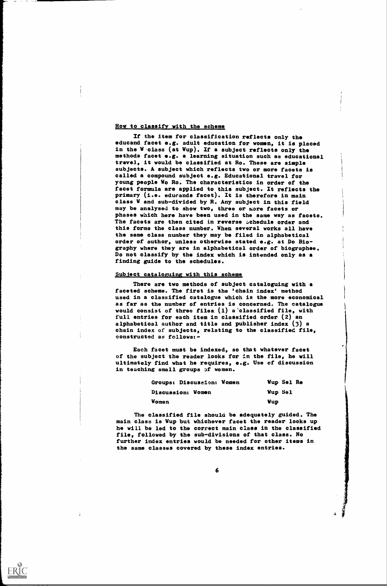### How to classify with the scheme

If the item for classification reflects only tho educand facet e.g. adult education for women, it is placed in the W class (at Wup). If a subject reflects only the methods facet e.g. a learning situation such as educational travel, it would be classified at Ro. These are simple subjects. A subject which reflects two or more facets is called a compound subject e.g. Educational travel for young people Wo Ro. The characteristics in order of the facet formula are applied to this subject. It reflects the primary (i.e. educands facet). It is therefore in main class W and sub-divided by R. Any subject in this field may be analysed to show two, three or wore facets or phases which here have been used in the same way as facets. The facets are then cited in reverse schedule order and this forms the class number. When several works all have the same class number they may be filed in alphabetical order of author, unless otherwise stated e.g. at Do Biography where they are in alphabetical order of biographee, Do not classify by the index which is intended only as a finding guide to the schedules.

#### Subject cataloguing with this scheme

There are two methods of subject cataloguing with a faceted scheme. The first is the 'chain index' method used in a classified catalogue which is the more economical as far as the number of entries is concerned. The catalogue would consist of three files  $(1)$  a classified file, with full entries for each item in classified order (2) an alphabetical author and title and publisher index (3) a chain index of subjects, relating to the classified file, constructed as follows:-

Each facet must be indexed, so that whatever facet of the subject the reader looks for in the file, he will ultimately find what he requires, e.g. Use of discussion in teaching small groups of women.

| Groups: Discussion: Women | Wup Sel Re     |
|---------------------------|----------------|
| Discussion: Women         | <b>Wup Sel</b> |
| <b>Women</b>              | Wup            |

1

The classified file should be adequately guided. The main class is Wup but whichever facet the reader looks up he will be led to the correct main class in the classified file, followed by the sub-divisions of that class. No further index entries would be needed for other items in the same classes covered by these index entries.



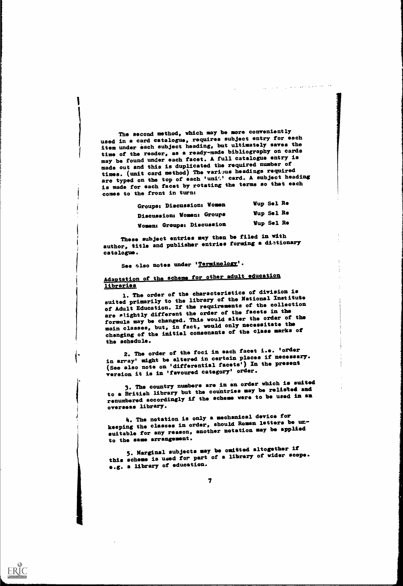The second method, which may be more conveniently used in a card catalogue, requires subject entry for each item under each subject heading, but ultimately saves the time of the reader, as a ready-made bibliography on cards may be found under each facet. A full catalogue ntry is made out and this is duplicated the required number of times. (unit card method) The various headings required are typed on the top of each 'uni<sup>4</sup>,' card. A subject heading is made for each facet by rotating the terms so that each comes to the front in turn:

| Groups: Discussion: Women | <b>Wup Sel Re</b> |
|---------------------------|-------------------|
| Discussion; Women: Groups | <b>Wup Sel Re</b> |
| Women: Groups; Discussion | <b>Wup Sel Re</b> |

These subject entries may then be filed in with author, title and publisher entries forming a distionary catalogue.

See zlso notes under 'Terminology'.

## Adaptation of the scheme for other adult education libraries

1. The order of the characteristics of division is suited primarily to the library of the National Institute of Adult Education. If the requirements of the collection are slightly different the order of the facets in the formula may be changed. This would alter the order of the main classes, but, in fact, would only necessitate the changing of the initial consonants of the class marks of the schedule.

2. The order of the foci in each facet i.e. 'order in array' might be altered in certain places if necessary. (See also note on 'differential facets') In the present version it is in 'favoured category' order.

3. The country numbers are in an order which is suited to a British library but the countries may be relisted and renumbered accordingly if the scheme were to be used in an overseas library.

4. The notation is only a mechanical device for keeping the classes in order, should Roman letters be unsuitable for any reason, another notation may be applied to the same arrangement.

3. Marginal subjects may be omitted altogether if this scheme is used for part of a library of wider scope. e.g. a library of education.

ERIC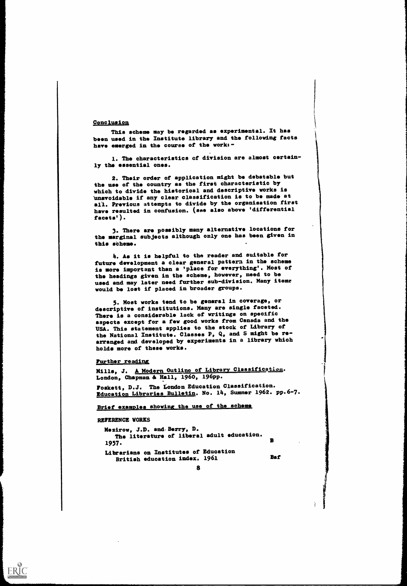#### Conclusion,

This scheme may be regarded as experimental. It has been used in the Institute library and the following facts have emerged in the course of the work:-

1. The characteristics of division are almost certainly the essential ones.

2. Their order of application might be debatable but the use of the country as the first characteristic by which to divide the historical and descriptive works is 'unavoidable if any clear classification is to be made at ail. Previous attempts to divide by the organisation first have resulted in confusion. (sae also above 'differential facets').

3. There are possibly many alternative locations for the marginal subjects although only one has been given in this scheme.

4. As it is helpful to the reader and suitable for future development a clear general pattern in the scheme is more important than a 'place for everything'. Most of the headings given in the scheme, however, need to be used and may later need further sub-division. Many iteme would be lost if placed in broader groups.

3. Most works tend to be general in coverage, or descriptive of institutions. Many are single faceted. There is a considerable lack of writings on specific aspects except for a few good works from Canada and the USA. This statement applies to the stock of Library of the National Institute. Classes P, Q, and S might be rearranged and developed by experiments in a library which holds more of these works.

#### Further reading

Mills, J. A. Modern Outline of Library Classification. London, Chapman& Hell, 1960, 196pp.

Foskett, D.J. The London Education Classification. Education Libraries Bulletin. No. 14, Summer 1962. pp.6-7.

### Brief examples showing the use of the scheme

#### REFERENCE YORKS

 $ERIC$ </u>

Mezirow, J.D. and.Berry, D. The literature of liberal adult education.<br>-1957. Librarians on Institutes of Education British education index. 1961 Baf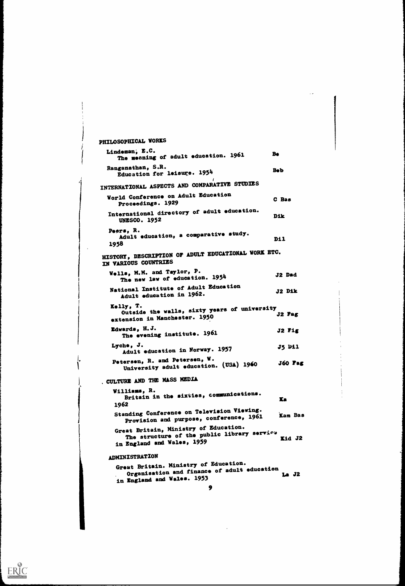```
PHILOSOPHICAL WORKS
  Lindeman, E.C.<br>The meaning of adult education. 1961 Be
  Ranganathan, S.R.
     Education for leisure. 1954 https://www.mathematics.com/helphones.com/helphones.
INTERNATIONAL ASPECTS AND COMPARATIVE STUDIES
  World Conference on Adult Education
     Proceedings. 1929
                                                  C Bas
  International directory of adult ducation.
     UNESCO. 1952
                                                  Dik
   Peers, R.<br>Adult education, a comparative study.
   1938
                                                   Dil
 HISTORY, DESCRIPTION OF ADULT EDUCATIONAL WORK ETC.
IN VARIOUS COUNTRIES
   Wells, M.M. and Taylor, P.
      11s, M.M. and Isylor, \cdot<br>The new law of education. 195<sup>4</sup> J2 Dad
   National Institute of Adult Education
      Adult education in 1962.<br>
12 Dik
   Kelly, T.
Outside the walls, sixty years of university
   outside the walls, dime, y = 0.5 J2 Fag<br>extension in Manchester. 1950
   Edwards, H.J.
       The evening institute. 1961
    Lyche, J.
Adult ducation in Norway. 1957
   Petersen, R. and Petersen, W.
      University adult education. (USA) 1960
                                                    J2 Fig
                                                    J5 Dil
                                                    J60 Fag
. CULTURE AND THE MASS MEDIA
    Williams, R.
Britain in the sixties, communications.
    1962
                                                    XS
    Standing Conference on Television Viewing.
       Provision and purpose, conference, 1961
    Great Britain, Ministry of Education.
       The structure of the public library service<br>Kid J2
    in England and Wales, 1959
                                                    Kam Bas
  ADMINISTRATION
    Great Britain. Ministry of Education.
        Organisation and finance of adult education La J2
     in England and Wales. 1953
                                9
```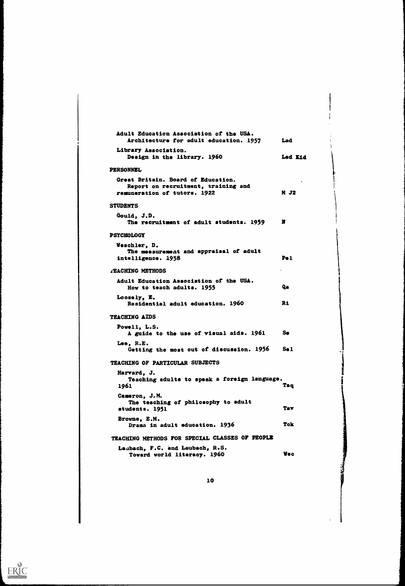| Adult Education Association of the USA.<br>Architecture for adult education. 1957                         | Lad              |
|-----------------------------------------------------------------------------------------------------------|------------------|
| Library Association.<br>Design in the library. 1960                                                       | Lad Kid          |
| PERSONNEL                                                                                                 |                  |
| Great Britain. Board of Education.<br>Report on recruitment, training and<br>remuneration of tutors. 1922 | M J2             |
| <b>STUDENTS</b>                                                                                           |                  |
| Gould, J.D.<br>The recruitment of adult students. 1959                                                    | н                |
| <b>PSYCHOLOGY</b>                                                                                         |                  |
| Weschler, D.<br>The measurement and appraisal of adult<br>intelligence. 1958                              | P <sub>0</sub> 1 |
| <b>TEACHING METHODS</b>                                                                                   |                  |
| Adult Education Association of the USA.<br>How to teach adults. 1955                                      | Qa               |
| Loosely, E.<br>Residential adult education. 1960                                                          | R1               |
| <b>TEACHING AIDS</b>                                                                                      |                  |
| Powell, L.S.<br>A guide to the use of visual aids. 1961                                                   | Se               |
| Lee, R.E.<br>Getting the most out of discussion. 1956                                                     | Se 1             |
| TEACHING OF PARTICULAR SUBJECTS                                                                           |                  |
| Harvard, J.<br>Teaching adults to speak a foreign language.<br>1961                                       | Taq              |
| Cameron, J.M.<br>The teaching of philosophy to adult<br>students. 1951                                    | <b>Tav</b>       |
| Browne, E.M.<br>Drama in adult education. 1936                                                            | <b>Tok</b>       |
| TEACHING METHODS FOR SPECIAL CLASSES OF PEOPLE                                                            |                  |
| Laubach, F.C. and Laubach, R.S.<br>Toward world literacy. 1960                                            | Vec              |

医生物理学

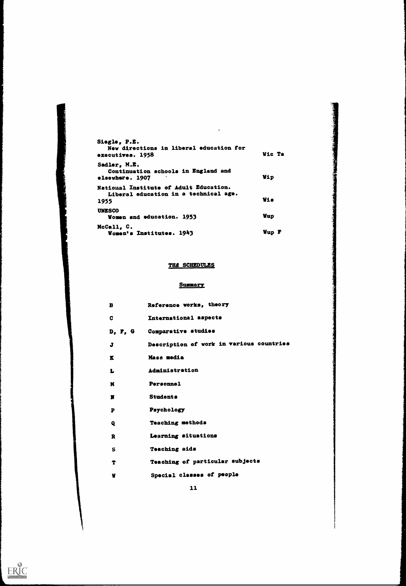| Siegle, P.E.<br>New directions in liberal education for<br>executives. 1958             | Wic Ta     |
|-----------------------------------------------------------------------------------------|------------|
| Sadler, M.E.<br>Continuation schools in England and<br>elsewhere. 1907                  | <b>Wip</b> |
| National Institute of Adult Education.<br>Liberal education in a technical age.<br>1955 | Vis        |
| <b>UNESCO</b><br>Women and education. 1953                                              | <b>Vup</b> |
| McCall, C.<br>Women's Institutes. 1943                                                  | Vup F      |

 $\ddot{\phantom{a}}$ 

## THE SCHEDULES

### Summary

| B            | Reference works, theory                  |
|--------------|------------------------------------------|
| C            | International aspects                    |
| D, F, G      | Comparative studies                      |
| J            | Description of work in various countries |
| K            | Mass media                               |
| L            | Administration                           |
| N            | Personnel                                |
| Ħ            | <b>Students</b>                          |
| P            | Psychology                               |
| Q            | <b>Teaching methods</b>                  |
| R            | Learning situations                      |
| $\mathbf{s}$ | <b>Teaching aids</b>                     |
| T            | Teaching of particular subjects          |
| ¥            | Special classes of people                |

 $ERIC$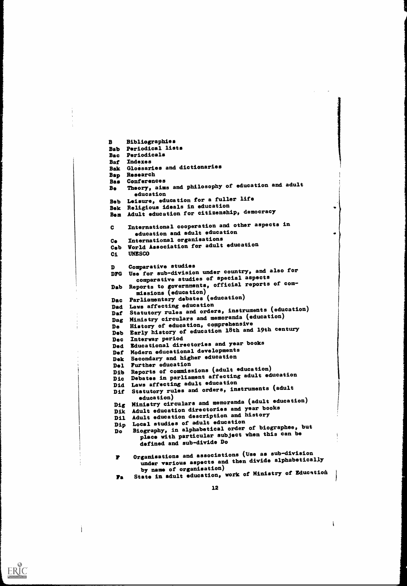$\mathbf{B}$ Bibliographies Bab Periodical lists Bac Periodicals Bat Indexes Bak Glossaries and dictionaries Bap Research Bas Conferences B. Theory, aims and philosophy of education and adult education Bob Leisure, education for a fuller life Bek Religious ideals in education Bem Adult education for citizenship, democracy International cooperation and other aspects in  $\mathbf{c}$ education and adult education<br>International organisations Ce International organisations Ceb World Association for adult education Ci UNESCO Comparative studies DFG Use for sub-division under country, and also for comparative studies of special aspects Dab Reports to governments, official reports of commissions (education) Dac Parliamentary debates (education)<br>Dad Laws affecting education Dad Laws affecting education Daf Statutory rules and orders, instruments (education) Dag Ministry circulars and memoranda (education) De History of education, comprehensive Deb Early history of education 18th and 19th century Dec Interwar period Ded Educational directories and year books Def Modern educational developments Dek Secondary and higher education<br>Del Further education Del Further education Dib Reports of commissions (adult education) Dic Debates in parliament affecting adult education Did Laws affecting adult education Dif Statutory rules and orders, instruments (adult<br>education) education) Dig Ministry circulars and memoranda (adult education) Dik Adult education directories and year books Dil Adult education description and history Dip Local studies of adult education Do Biography, in alphabetical order of biographee, but place with particular subject when this can be defined and sub-divide Do Organisations and associations (Use as sub-division r under various aspects and then divide alphabetically<br>by name of organisation) by name of organisation)<br> **Fa** State in adult education, work of Ministry of Education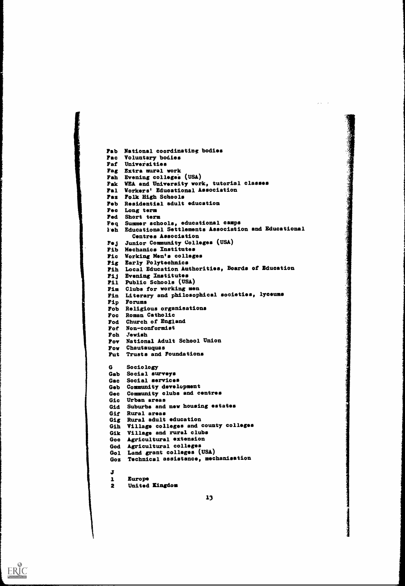```
Fab National coordinating bodies
Fac Voluntary bodies
Faf Universities
Fag Extra mural work
Fah Evening colleges (USA)
Fak WEA and University work, tutorial classes
Fal Workers' Educational Association
Fax Folk High Schools
Feb Residential adult ducation
Fec Long term
Fed Short term
Feq Summer schools, educational camps
l'eh Educational Settlements Association and Educational
       Centres Association
Fej Junior Community Colleges (USA)
Fib Mechanics Institutes
Fic Working Men's colleges
Fig Early Polytechnics
Fih Local Education Authorities, Hoards of Education
Fij Evening Institutes
Fil Public Schools (USA)
Fim Clubs for working men
Fin Literary and philosophical societies, lyceums
Fip Forums
Fob Religious organisations
Foc Roman Catholic
Fod Church of England
Fof Non-conformist
Foh Jewish
Fov National Adult School Union
Fow Chautauquas
Fut Trusts and Foundations
G
     Sociology
Gab Social surveys
Gac Social services
Geb Community development
Gec Community clubs and centres
 Gic Urban areas
 Gid Suburbs and new housing estates
 Gif Rural areas
 Gig Rural adult ducation
 Gih Village colleges and county colleges
 Gik Village and rural clubs
 Goo Agricultural extension
 God Agricultural colleges
 Gol Land grant colleges (USA)
 Goz Technical assistance, mechanisation
 J
 1 Europe
 2 United Kingdom
```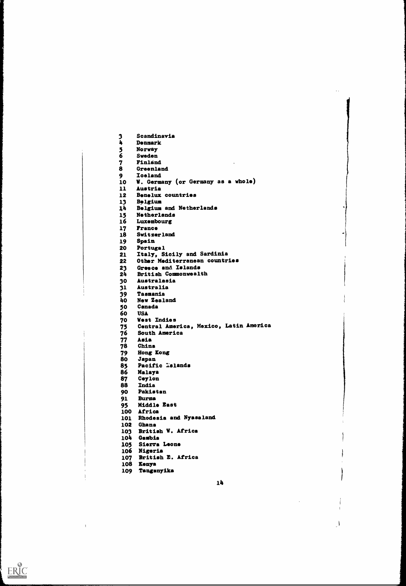3 Scandinavia<br>4 Denmark 4 Denmark<br>5 Norway 5 Norway **Sweden** 7 Finland<br>8 Greenlan **Greenland** 9 Iceland<br>10 W. German **V. Germany (or Germany as a whole)** 11 Austria 12 Benelux countries 13 Balgium 14 Belgium and Netherlands 15 Netherlands 16 Luxembourg 17 France 18 Switzerland 19 Spain 20 Portugal 21 Italy, Sicily and Sardinia 22 Other Mediterranean countries 23 Greece and Islands<br>24 British Commonwealt British Commonwealth 30 Australasia 31 Australia 39 Tasmania<br>40 New Zeala 40 New Zealand<br>50 Canada 50 Canada 60 USA<br>70 West 70 West Indies 75 Central America, Mexico, Latin America 76 South America 77 Asia **China** 79 Hong Kong 80 Japan 85 Pacific Islands<br>86 Malaya 86 Malaya 87 Ceylon<br>88 India 88 India<br>90 Pakis Pakistan 91 Burma 95 Middle East 100 Africa 101 Rhodesia and Nyasaland 102 Ghana 103 British W. Africa 104 Gambia 105 Sierra Leone 106 Nigeria 107 British E. Africa 108 Kenya 109 Tanganyika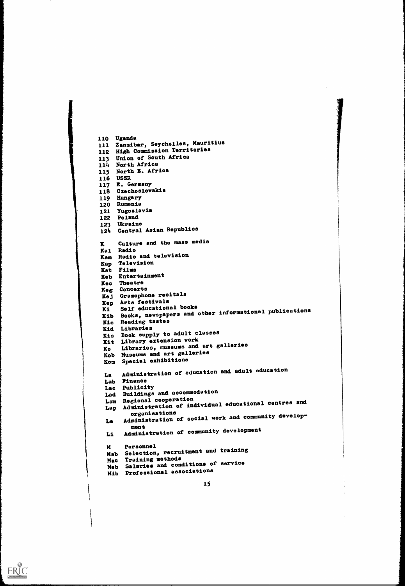```
1
   110 Uganda
   111 Zanzibar, Seychelles, Mauritius
   112 High Commission Territories
   113 Union of South Africa
   114 North Africa
   115 North E. Africa
   116 USSR
   117 E. Germany
   118 Czechoslovakia
   119 Hungary
   120 Rumania
   121 Yugoslavia
   122 Poland
   123 Ukraine
   124 Central Asian Republics
   K Culture and the mass media<br>Kal Radio
    Kal Radio
    Kam Radio and television
   Kap Television
   Kat Films
   Keb Entertainment
   Kec Theatre
   Keg Concerts
    Kej Gramophone recitals
    Kep Arts festivals<br>Ki Self educational books
    Ki Self educational books
Kib Books, newspapers and other informational publications
    Kic Reading tastes<br>Kid Libraries
    Kid Libraries
Xis Book supply to adult classes
    Kit Library extension work
    Ko Libraries, museums and art galleries
    Kob Museums and art galleries
    Kom Special exhibitions
    La Administration of education and adult education
    Lab Finance<br>Lac Publicity
     Lac Publicity
     Lad Buildings and accommodation
     Lam Regional cooperation
Lap Administration of individual educational centres and
     organisations
Le Administration of social work and community develop-
             ment
     Li Administration of community development
     Personnel
Mab Selection, recruitment and training
      Mac Training methods
Meb Salaries and conditions of service
     Mib Professional associations
```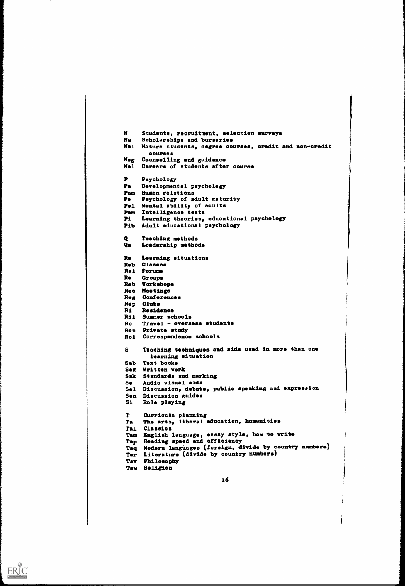$\mathbf{N}$ Students, recruitment, selection surveys Na Scholarships and bursaries Nal Mature students, degree courses, credit and non-credit courses Nog Counselling and guidance Nel Careers of students after course  $\mathbf{P}$ Psychology Pa Developmental psychology **Pam Human relations**<br>**Pe** Psychology of a Psychology of adult maturity Pel Mental ability of adults Pem Intelligence tests Pi Learning theories, educational psychology Pib Adult educational psychology Teaching methods  $\bullet$ Q. Leadership methods Ra Learning situations Rab Classes Ral Forums Re Groups Rob Workshops Rec Meetings Reg Conferences Rep Clubs Ri Residence Ril Summer schools Ro Travel - overseas students Rob Private study Rol Correspondence schools Teaching techniques and aids used in more than one S. learning situation Sab Text books Sag Written work Sak Standards and marking Se Audio visual aids Sel Discussion, debate, public speaking and expression Son Discussion guides Si Role playing T. Curricula planning Ta The arts, liberal education, humanities Tal Classics Tam English language, essay style, how to write Tap Reading speed and efficiency Taq Modern languages (foreign, divide by country numbers) Tar Literature (divide by country numbers) Tav Philosophy Taw Religion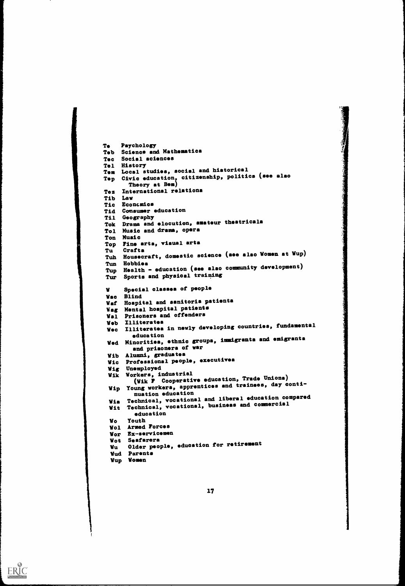```
Te Psychology
Teb Science and Mathematics
Tec Social aciences<br>Tel History
Tel History
Tem Local studies, social and historical
Top Civic education, citizenship, politics (see also
       Theory at Bem)
Tez International relations
Tib Law
Tic Economics
Tid Consumer education<br>Til Geography
Til Geography
Tok Drama and elocution, amateur theatricals
Tol Music and drama, opera
Ton Music
Top Fine arta, viaual arta<br>Tu Crafta
Tu Crafts
Tuh Housecraft, domestic science (see also Women at Wup)
 Tun Hobbies
Tup Health - education (see also community development)
Tur Sports and physical traiping
      Special classes of people
W
Wac Blind
Waf Hospital and sanitoria patients
Wag Mental hospital patients
Wel Prisoners and offenders
 Web Illiterates
Wec Illiterates in newly developing countries, fundamental
 education
Wed Minorities, ethnic groups, immigrants and emigrants
        and prisoners of war
 Wib Alumni, graduates
 Wic Professional people, executives
 Wig Unemployed
 Wik Workers, industrial
         (Wik F Cooperative education, Trade Unions)
 Wip Young workers, apprentices and trainees, day conti-<br>nuation education
  nuation education<br>Wis Technical, vocational and liberal education compared<br>and commercial
 Wit Technical, vocational, business and commercial
         education
 Wo Youth
 Wol Armed Forces
 Wor Ex-servicemen<br>Wot Seafarera
  Wot Seafarers
Wu Older people, education for retirement
  Wud Parents
 Wup Women
```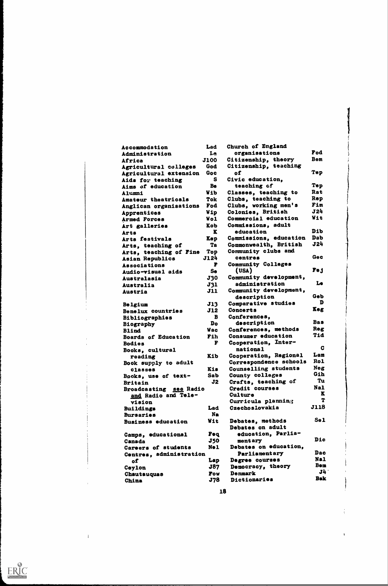| Accommodation                                      | Lad         | Church of England               |             |
|----------------------------------------------------|-------------|---------------------------------|-------------|
| Administration                                     | Le          | organisations                   | Fod         |
| Africa                                             | <b>J100</b> | Citizenship, theory             | Bem         |
| Agricultural colleges                              | God         | Citizenship, teaching           |             |
| Agricultural extension                             | Goc         | of                              | Tep         |
| Aids for teaching                                  | s           | Civic education,                |             |
| Aims of education                                  | Be          | teaching of                     | Tep         |
| Alumni                                             | <b>Wib</b>  | Classes, teaching to            | Rat         |
| Amateur theatricals                                | Tok         | Clubs, teaching to              | Rep         |
| Anglican organisations                             | Fod         | Clubs, working men's            | Fim         |
| Apprentices                                        | Wip         | Colonies, British               | J24         |
| Armed Forces                                       | Wol         | Commercial education            | Wit         |
| Art galleries                                      | Kob         | Commissions, adult              |             |
| Arts                                               | K           | education                       | Dib         |
| Arts festivals                                     | Kep         | Commissions, education          | Dab         |
| Arts, teaching of                                  | Ta          | Commonwealth, British           | J24         |
| Arts, teaching of Fine                             | Top         | Community clubs and             |             |
| Asian Republics                                    | J124        | centres                         | Gec         |
| Associations                                       | F           | Community Colleges              |             |
| Audio-visual aids                                  | Se          | (USA)                           | <b>Fej</b>  |
| Australasia                                        | <b>J30</b>  | Community development,          |             |
| Australia                                          | <b>J31</b>  | administration                  | Le          |
| Austria                                            | <b>J11</b>  | Community development,          |             |
|                                                    |             | description                     | Geb         |
| <b>Belgium</b>                                     | J13         | Comparative studies             | D           |
| Benelux countries                                  | J12         | Concerts                        | Keg         |
| <b>Bibliographies</b>                              | B           | Conferences,                    |             |
| Biography                                          | Do          | description                     | <b>Bas</b>  |
| <b>Blind</b>                                       | <b>Wac</b>  | Conferences, methods            | Reg         |
| <b>Boards of Education</b>                         | Fih         | Consumer education              | <b>fitT</b> |
| <b>Bodies</b>                                      | F           | Cooperation, Inter-             |             |
| Books, cultural                                    |             | national                        | C           |
| reading                                            | Kib         | Cooperation, Regional           | Lam         |
| Book supply to adult                               |             | Correspondence schools          | <b>Rol</b>  |
| classes                                            | Kis         | Counselling students            | Neg         |
| Books, use of text-                                | Sab         | County colleges                 | Gih         |
|                                                    | J2          | Crafts, teaching of             | Tu          |
| <b>Britain</b><br>see Radio<br><b>Broadcasting</b> |             | Credit courses                  | <b>Nal</b>  |
| and Radio and Tele-                                |             | Culture                         | K           |
| vision                                             |             | Curricula plannin <sub>(5</sub> | т           |
| <b>Buildings</b>                                   | Lad         | Czechoslovakia                  | <b>J118</b> |
| <b>Bursaries</b>                                   | Na          |                                 |             |
| <b>Business education</b>                          | Wit         | Debates, methods                | Sel         |
|                                                    |             | Debates on adult                |             |
|                                                    | Feq         | education, Parlia-              |             |
| Camps, educational                                 | <b>J50</b>  | mentary                         | Dic         |
| Canada<br>Careers of students                      | No 1        | Debates on education,           |             |
|                                                    |             | Parliamentary                   | Dac         |
| Centres, administration                            |             | Degree courses                  | Nal         |
| оf                                                 | Lap<br>J87  | Democracy, theory               | <b>Bem</b>  |
| Ceylon                                             |             | Denmark                         | J4          |
| <b>Chautauquas</b>                                 | <b>Fow</b>  | Dictionaries                    | <b>Bak</b>  |
| China                                              | J78         |                                 |             |

18

 $\frac{1}{3}$ 

 $\tilde{\mathbf{z}}$ 



 $\bar{1}$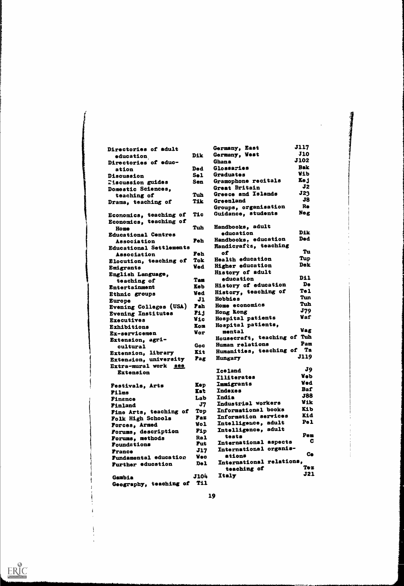| Directories of adult                           |                  | Germany, East            | <b>J117</b>    |
|------------------------------------------------|------------------|--------------------------|----------------|
|                                                | Dik              | Germany, West            | <b>J10</b>     |
| education<br>Directories of educ-              |                  | <b>Ghana</b>             | <b>J102</b>    |
| ation                                          | Ded              | Glossaries               | <b>Bak</b>     |
| Discussion                                     | S <sub>0</sub> 1 | Graduates                | <b>Wib</b>     |
|                                                | Sen              | Gramophone recitals      | Kej            |
| <b>Tiscussion guides</b><br>Domestic Sciences, |                  | Great Britain            | J <sub>2</sub> |
| teaching of                                    | Tuh              | Greece and Islands       | J23            |
| Drama, teaching of                             | Tik              | Greenland                | J8             |
|                                                |                  | Groups, organisation     | Re             |
| Economics, teaching of                         | Tic              | Guidance, students       | Neg            |
| Economics, teaching of                         |                  |                          |                |
| <b>Home</b>                                    | Tuh              | Handbooks, adult         |                |
| <b>Educational Centres</b>                     |                  | education                | Dik.           |
| Association                                    | Feh              | Handbooks, education     | <b>Ded</b>     |
| <b>Educational Settlements</b>                 |                  | Handicrafts, teaching    |                |
| Association                                    | Feh              | of                       | Tu             |
| Elocution, teaching of                         | Tok              | Health education         | Tup            |
| Emigrants                                      | Ved              | Higher education         | Dek            |
| English Language,                              |                  | History of adult         |                |
| teaching of                                    | Tam              | education                | Dil            |
| Entertainment                                  | <b>Keb</b>       | History of education     | De             |
| Ethnic groups                                  | <b>Ved</b>       | History, teaching of     | Tel            |
|                                                | J1               | <b>Hobbies</b>           | Tun            |
| <b>Europe</b><br>Evening Colleges (USA)        | <b>Fah</b>       | Home economics           | Tuh            |
| <b>Evening Institutes</b>                      | Fij              | Hong Kong                | <b>J79</b>     |
| <b>Executives</b>                              | <b>Wic</b>       | Hospital patients        | Vaf            |
| Exhibitions                                    | Kom              | Hospital patients,       |                |
| Ex-servicemen                                  | <b>Vor</b>       | mental                   | Vag            |
| Extension, agri-                               |                  | Housecraft, teaching of  | Tuh            |
| cultural                                       | Goc              | Human relations          | Pam            |
| Extension, library                             | Kit              | Humanities, teaching of  | Ta             |
| Extension, university                          | Fag              | Hungary                  | <b>J119</b>    |
| Extra-mural work see                           |                  |                          |                |
| <b>Extension</b>                               |                  | <b>Iceland</b>           | J9             |
|                                                |                  | <b>Illiterates</b>       | <b>Veb</b>     |
| Festivals, Arts                                | Kep              | <b>Immigrants</b>        | <b>Ved</b>     |
| Films                                          | Tat              | Indexes                  | Baf            |
| Finance                                        | Lab              | India                    | <b>J88</b>     |
| Finland                                        | J7               | Industrial workers       | <b>Vik</b>     |
| Fine Arts, teaching of                         | Top              | Informational books      | Kib            |
| Folk High Schools                              | <b>Faz</b>       | Information services     | Kid            |
| Forces, Armed                                  | Wol              | Intelligence, adult      | Pel            |
| Forums, description                            | Fip              | Intelligence, adult      |                |
| Forums, methods                                | <b>Ral</b>       | tests                    | Pem            |
| <b>Foundations</b>                             | Fut              | International aspects    | С              |
| <b>France</b>                                  | <b>J17</b>       | International organis-   |                |
| <b>Fundamental education</b>                   | <b>Vec</b>       | ations                   | Ce             |
| <b>Further educstion</b>                       | Del              | International relations, |                |
|                                                |                  | teaching of              | Te z           |
| Gambia                                         | <b>J104</b>      | Italy                    | <b>J21</b>     |
| Geography, teaching of                         | T11              |                          |                |

<sup>15</sup><br>11 Martin

 $\hat{\mathcal{A}}$ 

19

 $\mathbf{i}$ 

ļ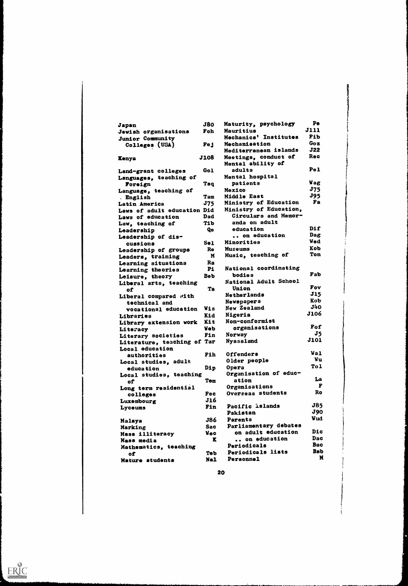| Japan                         | <b>J80</b>  | Maturity, psychology           | Pe                |
|-------------------------------|-------------|--------------------------------|-------------------|
| Jewish organisations          | Foh         | Mauritius                      | <b>J111</b>       |
| <b>Junior Community</b>       |             | Mechanics' Institutes          | Fib               |
| Colleges (USA)                | Fej         | Mechanisation                  | Goz               |
|                               |             | Mediterranean islands          | <b>J22</b>        |
| <b>Kenya</b>                  | <b>J108</b> | Meetings, conduct of           | Rec               |
|                               |             | Mental ability of              |                   |
| Land-grant colleges           | Gol         | adults                         | Pe <sub>1</sub>   |
| Lsnguages, teaching of        |             | Mental hospital                |                   |
| Poreign                       | Taq         | patients                       | <b>Vag</b>        |
| Language, teaching of         |             | Mexico                         | J75               |
| . English                     | Tam         | Middle East                    | <b>J95</b>        |
| Latin America                 | J75         | Ministry of Education          | Fa                |
| Laws of adult education Did   |             | Ministry of Education,         |                   |
| Laws of education             | Dad         | Circulars and Memor-           |                   |
| Law, teaching of              | Tib.        | anda on adult                  |                   |
| Leadership                    | Qe          | education                      | Dif               |
| Leadership of dis-            |             | on education                   | Dag               |
| cussions                      | Sel         | Minorities                     | <b>Wed</b>        |
| Leadership of groups          | Re          | Museums                        | Kob               |
| Leaders, training             | N           | Music, teaching of             | <b>Ton</b>        |
| Learning situations           | Ra          |                                |                   |
| Learning theories             | P1          | National coordinating          |                   |
| Leisure, theory               | <b>Beb</b>  | bodies                         | Fab               |
| Liberal arts, teaching        |             | National Adult School          |                   |
| of                            | Ta          | Union                          | Fov               |
| Liberal compared with         |             | <b>Netherlands</b>             | <b>J15</b>        |
| technical and                 |             | Newspapers                     | Kob               |
| vocational education          | Wis         | New Zealand                    | <b>J40</b>        |
| Libraries                     | Kid         | Nigeria                        | <b>J106</b>       |
| Library extension work        | Kit         | Non-conformist                 |                   |
| Literacy                      | <b>Veb</b>  | organisations                  | Fof               |
| Literary societies            | Fin         | Norway                         | J5<br><b>J101</b> |
| Literature, teaching of Tar   |             | Nyasaland                      |                   |
| Local education               |             |                                | <b>Wal</b>        |
| authorities                   | Fih         | Offenders                      | Vu                |
| Local studies, adult          |             | Older people                   | To1               |
| education                     | Dip         | <b>Opera</b>                   |                   |
| Local studies, teaching       |             | Organisation of educ-<br>ation | La                |
| оf                            | Tem         | Organisations                  | F                 |
| Long term residential         | Fec         | Overseas students              | Ro                |
| colleges                      | J16         |                                |                   |
| Luxembourg                    | Fin         | Pacific islands                | <b>J85</b>        |
| Lyceums                       |             | Pakistan                       | <b>J90</b>        |
|                               | J86         | Parents                        | <b>Vud</b>        |
| Malaya                        | Sac         | Parliamentary debates          |                   |
| Marking                       | <b>Wec</b>  | on adult education             | Dic               |
| Mass illiteracy<br>Mass media | K           | on education                   | Dac               |
| Mathematics, teaching         |             | Periodicals                    | <b>Bac</b>        |
|                               | <b>Teb</b>  | Periodicals lists              | <b>Bab</b>        |
| of                            | Nal         | Personnel                      | M                 |
| Mature students               |             |                                |                   |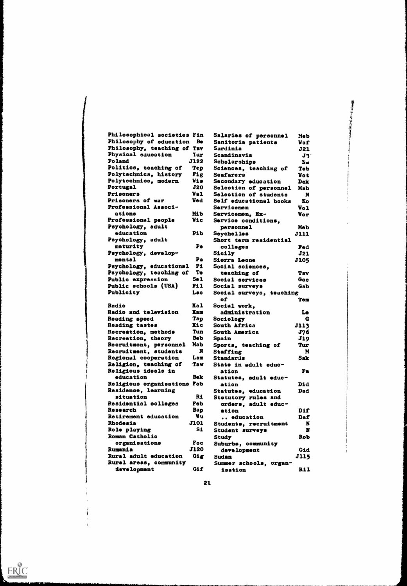| Philosophical societies Fin          | Salaries of personnel<br><b>Meb</b>                 |  |
|--------------------------------------|-----------------------------------------------------|--|
| Philosophy of education<br><b>Be</b> | Sanitoria patients<br><b>Vaf</b>                    |  |
| Philosophy, teaching of Tav          | Sardinia<br>J21                                     |  |
| Physical education<br>Tur:           | Scandinavia<br>$\mathbf{J}$                         |  |
| Poland<br><b>J122</b>                | Scholarships<br>Na                                  |  |
| Politics, teaching of<br><b>Tep</b>  | Sciences, teaching of<br>Teb                        |  |
| Polytechnics, history<br>Fig         | <b>Seafarers</b><br>Vot.                            |  |
| Polytechnics, modern<br>Wis          | Secondary education<br><b>Dek</b>                   |  |
| J20<br>Portugal                      | Selection of personnel<br>Mab                       |  |
| <b>Val</b><br><b>Prisoners</b>       | Selection of students<br>N                          |  |
| <b>Ved</b><br>Prisoners of war       | Self educational books<br>Ko                        |  |
| Professional Associ-                 | Servicemen                                          |  |
| ations<br>Mi b                       | <b>Wol</b><br>Servicemen, Ex-<br>Wor                |  |
| Professional people<br>Wic           | Service conditions,                                 |  |
| Psychology, adult                    |                                                     |  |
| education<br>Pib                     | personnel<br>Meb                                    |  |
| Psychology, adult                    | Seychelles<br><b>J111</b><br>Short term residential |  |
| Pe                                   |                                                     |  |
| maturity                             | colleges<br>Fed                                     |  |
| Psychology, develop-<br>mental<br>Pa | Sicily<br>J21                                       |  |
|                                      | Sierra Leone<br><b>J105</b>                         |  |
| P1<br>Psychology, educational        | Social sciences,                                    |  |
| <b>Te</b><br>Psychology, teaching of | teaching of<br>Tav                                  |  |
| Sel.<br>Public expression            | Social services<br><b>Gac</b>                       |  |
| Public schools (USA)<br>F11          | Social surveys<br>Gab                               |  |
| Publicity<br>Lac                     | Social surveys, teaching                            |  |
|                                      | оf<br>Tem                                           |  |
| Radio<br><b>Kal</b>                  | Social work,                                        |  |
| Radio and television<br>Kam          | administration<br>Le                                |  |
| Reading speed<br>Tap                 | Sociology<br>G                                      |  |
| <b>Reading tastes</b><br><b>Kic</b>  | South Africa<br><b>J113</b>                         |  |
| Recreation, methods<br>Tun           | South America<br>J76                                |  |
| Recreation, theory<br><b>Beb</b>     | J19<br>Spain                                        |  |
| Recruitment, personnel<br>Mab        | Sports, teaching of<br>Tur                          |  |
| N<br>Recruitment, students           | M<br>Staffing                                       |  |
| Regional cooperation<br>Lam          | Standards<br><b>Sak</b>                             |  |
| Religion, teaching of<br>Taw         | State in adult educ-                                |  |
| Religious ideals in                  | Fa<br>ation                                         |  |
| Bek<br>education                     | Statutes, adult educ-                               |  |
| Religious organisations Fob          | Did<br>ation                                        |  |
| Residence, learning                  | Statutes, education<br><b>Dad</b>                   |  |
| situation<br>Ri                      | Statutory rules and                                 |  |
| Residential colleges<br>Feb          | orders, adult educ-                                 |  |
| Research<br>Bap                      | ation<br>Dif                                        |  |
| Vu<br>Retirement education           | <b> e</b> ducation<br>Daf                           |  |
| <b>Rhodesia</b><br><b>J101</b>       | Students, recruitment<br>N                          |  |
| S1<br>Role playing                   | N<br>Student surveys                                |  |
| Roman Catholic                       | Rob<br>Study                                        |  |
| organisations<br>Foc                 | Suburbs, community                                  |  |
| <b>J120</b><br>Rumania               | Gid<br>development                                  |  |
| Rural adult education<br>Gig         | <b>J115</b><br>Sudan                                |  |
| Rural areas, community               |                                                     |  |
| dsvelopment                          | Summer schools, organ-                              |  |

小学 医自动的 医生物

21.



ŧ